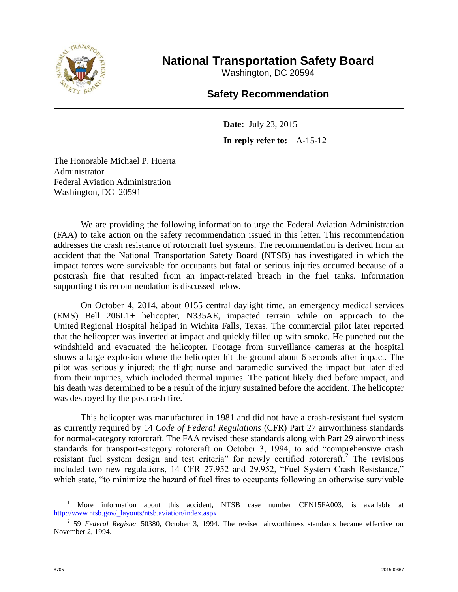

## **National Transportation Safety Board**

Washington, DC 20594

## **Safety Recommendation**

**Date:** July 23, 2015 **In reply refer to:** A-15-12

The Honorable Michael P. Huerta Administrator Federal Aviation Administration Washington, DC 20591

We are providing the following information to urge the Federal Aviation Administration (FAA) to take action on the safety recommendation issued in this letter. This recommendation addresses the crash resistance of rotorcraft fuel systems. The recommendation is derived from an accident that the National Transportation Safety Board (NTSB) has investigated in which the impact forces were survivable for occupants but fatal or serious injuries occurred because of a postcrash fire that resulted from an impact-related breach in the fuel tanks. Information supporting this recommendation is discussed below.

On October 4, 2014, about 0155 central daylight time, an emergency medical services (EMS) Bell 206L1+ helicopter, N335AE, impacted terrain while on approach to the United Regional Hospital helipad in Wichita Falls, Texas. The commercial pilot later reported that the helicopter was inverted at impact and quickly filled up with smoke. He punched out the windshield and evacuated the helicopter. Footage from surveillance cameras at the hospital shows a large explosion where the helicopter hit the ground about 6 seconds after impact. The pilot was seriously injured; the flight nurse and paramedic survived the impact but later died from their injuries, which included thermal injuries. The patient likely died before impact, and his death was determined to be a result of the injury sustained before the accident. The helicopter was destroyed by the postcrash fire.<sup>1</sup>

This helicopter was manufactured in 1981 and did not have a crash-resistant fuel system as currently required by 14 *Code of Federal Regulations* (CFR) Part 27 airworthiness standards for normal-category rotorcraft. The FAA revised these standards along with Part 29 airworthiness standards for transport-category rotorcraft on October 3, 1994, to add "comprehensive crash resistant fuel system design and test criteria" for newly certified rotorcraft.<sup>2</sup> The revisions included two new regulations, 14 CFR 27.952 and 29.952, "Fuel System Crash Resistance," which state, "to minimize the hazard of fuel fires to occupants following an otherwise survivable

 $\overline{a}$ 

<sup>&</sup>lt;sup>1</sup> More information about this accident, NTSB case number CEN15FA003, is available at [http://www.ntsb.gov/\\_layouts/ntsb.aviation/index.aspx.](http://www.ntsb.gov/_layouts/ntsb.aviation/index.aspx)

<sup>2</sup> 59 *Federal Register* 50380, October 3, 1994. The revised airworthiness standards became effective on November 2, 1994.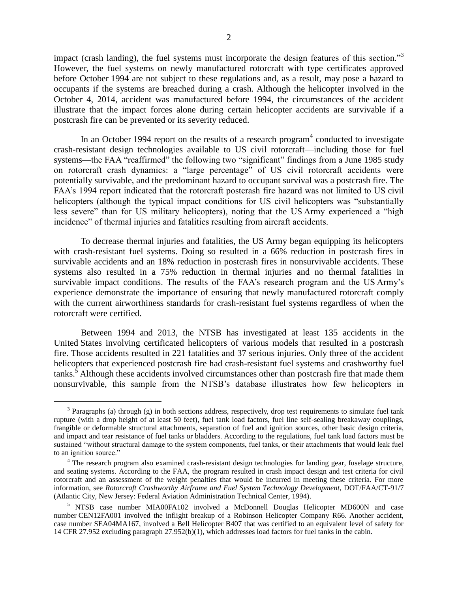impact (crash landing), the fuel systems must incorporate the design features of this section."<sup>3</sup> However, the fuel systems on newly manufactured rotorcraft with type certificates approved before October 1994 are not subject to these regulations and, as a result, may pose a hazard to occupants if the systems are breached during a crash. Although the helicopter involved in the October 4, 2014, accident was manufactured before 1994, the circumstances of the accident illustrate that the impact forces alone during certain helicopter accidents are survivable if a postcrash fire can be prevented or its severity reduced.

In an October 1994 report on the results of a research program<sup>4</sup> conducted to investigate crash-resistant design technologies available to US civil rotorcraft—including those for fuel systems—the FAA "reaffirmed" the following two "significant" findings from a June 1985 study on rotorcraft crash dynamics: a "large percentage" of US civil rotorcraft accidents were potentially survivable, and the predominant hazard to occupant survival was a postcrash fire. The FAA's 1994 report indicated that the rotorcraft postcrash fire hazard was not limited to US civil helicopters (although the typical impact conditions for US civil helicopters was "substantially less severe" than for US military helicopters), noting that the US Army experienced a "high incidence" of thermal injuries and fatalities resulting from aircraft accidents.

To decrease thermal injuries and fatalities, the US Army began equipping its helicopters with crash-resistant fuel systems. Doing so resulted in a 66% reduction in postcrash fires in survivable accidents and an 18% reduction in postcrash fires in nonsurvivable accidents. These systems also resulted in a 75% reduction in thermal injuries and no thermal fatalities in survivable impact conditions. The results of the FAA's research program and the US Army's experience demonstrate the importance of ensuring that newly manufactured rotorcraft comply with the current airworthiness standards for crash-resistant fuel systems regardless of when the rotorcraft were certified.

Between 1994 and 2013, the NTSB has investigated at least 135 accidents in the United States involving certificated helicopters of various models that resulted in a postcrash fire. Those accidents resulted in 221 fatalities and 37 serious injuries. Only three of the accident helicopters that experienced postcrash fire had crash-resistant fuel systems and crashworthy fuel tanks.<sup>5</sup> Although these accidents involved circumstances other than postcrash fire that made them nonsurvivable, this sample from the NTSB's database illustrates how few helicopters in

 $\overline{a}$ 

 $3$  Paragraphs (a) through (g) in both sections address, respectively, drop test requirements to simulate fuel tank rupture (with a drop height of at least 50 feet), fuel tank load factors, fuel line self-sealing breakaway couplings, frangible or deformable structural attachments, separation of fuel and ignition sources, other basic design criteria, and impact and tear resistance of fuel tanks or bladders. According to the regulations, fuel tank load factors must be sustained "without structural damage to the system components, fuel tanks, or their attachments that would leak fuel to an ignition source."

<sup>&</sup>lt;sup>4</sup> The research program also examined crash-resistant design technologies for landing gear, fuselage structure, and seating systems. According to the FAA, the program resulted in crash impact design and test criteria for civil rotorcraft and an assessment of the weight penalties that would be incurred in meeting these criteria. For more information, see *Rotorcraft Crashworthy Airframe and Fuel System Technology Development*, DOT/FAA/CT-91/7 (Atlantic City, New Jersey: Federal Aviation Administration Technical Center, 1994).

<sup>&</sup>lt;sup>5</sup> NTSB case number MIA00FA102 involved a McDonnell Douglas Helicopter MD600N and case number CEN12FA001 involved the inflight breakup of a Robinson Helicopter Company R66. Another accident, case number SEA04MA167, involved a Bell Helicopter B407 that was certified to an equivalent level of safety for 14 CFR 27.952 excluding paragraph 27.952(b)(1), which addresses load factors for fuel tanks in the cabin.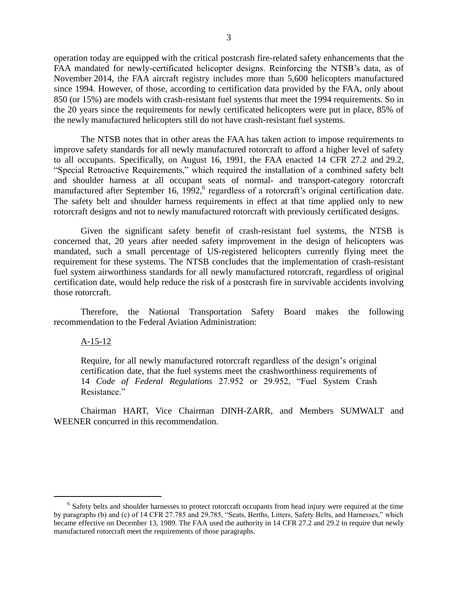operation today are equipped with the critical postcrash fire-related safety enhancements that the FAA mandated for newly-certificated helicopter designs. Reinforcing the NTSB's data, as of November 2014, the FAA aircraft registry includes more than 5,600 helicopters manufactured since 1994. However, of those, according to certification data provided by the FAA, only about 850 (or 15%) are models with crash-resistant fuel systems that meet the 1994 requirements. So in the 20 years since the requirements for newly certificated helicopters were put in place, 85% of the newly manufactured helicopters still do not have crash-resistant fuel systems.

The NTSB notes that in other areas the FAA has taken action to impose requirements to improve safety standards for all newly manufactured rotorcraft to afford a higher level of safety to all occupants. Specifically, on August 16, 1991, the FAA enacted 14 CFR 27.2 and 29.2, "Special Retroactive Requirements," which required the installation of a combined safety belt and shoulder harness at all occupant seats of normal- and transport-category rotorcraft manufactured after September 16, 1992,<sup>6</sup> regardless of a rotorcraft's original certification date. The safety belt and shoulder harness requirements in effect at that time applied only to new rotorcraft designs and not to newly manufactured rotorcraft with previously certificated designs.

Given the significant safety benefit of crash-resistant fuel systems, the NTSB is concerned that, 20 years after needed safety improvement in the design of helicopters was mandated, such a small percentage of US-registered helicopters currently flying meet the requirement for these systems. The NTSB concludes that the implementation of crash-resistant fuel system airworthiness standards for all newly manufactured rotorcraft, regardless of original certification date, would help reduce the risk of a postcrash fire in survivable accidents involving those rotorcraft.

Therefore, the National Transportation Safety Board makes the following recommendation to the Federal Aviation Administration:

## A-15-12

 $\overline{a}$ 

Require, for all newly manufactured rotorcraft regardless of the design's original certification date, that the fuel systems meet the crashworthiness requirements of 14 *Code of Federal Regulations* 27.952 or 29.952, "Fuel System Crash Resistance."

Chairman HART, Vice Chairman DINH-ZARR, and Members SUMWALT and WEENER concurred in this recommendation.

 $6$  Safety belts and shoulder harnesses to protect rotorcraft occupants from head injury were required at the time by paragraphs (b) and (c) of 14 CFR 27.785 and 29.785, "Seats, Berths, Litters, Safety Belts, and Harnesses," which became effective on December 13, 1989. The FAA used the authority in 14 CFR 27.2 and 29.2 to require that newly manufactured rotorcraft meet the requirements of those paragraphs.